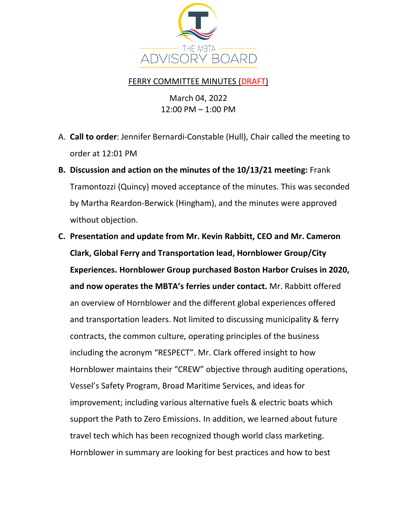

## FERRY COMMITTEE MINUTES (DRAFT)

March 04, 2022 12:00 PM – 1:00 PM

- A. **Call to order**: Jennifer Bernardi-Constable (Hull), Chair called the meeting to order at 12:01 PM
- **B. Discussion and action on the minutes of the 10/13/21 meeting:** Frank Tramontozzi (Quincy) moved acceptance of the minutes. This was seconded by Martha Reardon-Berwick (Hingham), and the minutes were approved without objection.
- **C. Presentation and update from Mr. Kevin Rabbitt, CEO and Mr. Cameron Clark, Global Ferry and Transportation lead, Hornblower Group/City Experiences. Hornblower Group purchased Boston Harbor Cruises in 2020, and now operates the MBTA's ferries under contact.** Mr. Rabbitt offered an overview of Hornblower and the different global experiences offered and transportation leaders. Not limited to discussing municipality & ferry contracts, the common culture, operating principles of the business including the acronym "RESPECT". Mr. Clark offered insight to how Hornblower maintains their "CREW" objective through auditing operations, Vessel's Safety Program, Broad Maritime Services, and ideas for improvement; including various alternative fuels & electric boats which support the Path to Zero Emissions. In addition, we learned about future travel tech which has been recognized though world class marketing. Hornblower in summary are looking for best practices and how to best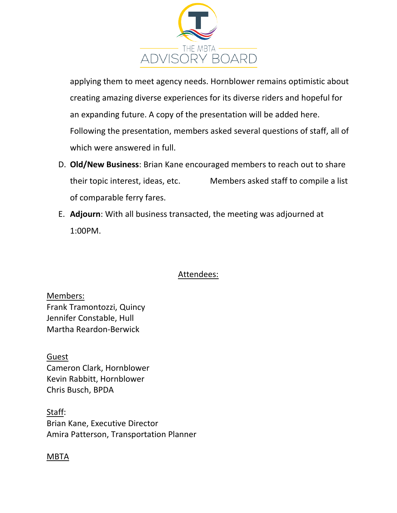

applying them to meet agency needs. Hornblower remains optimistic about creating amazing diverse experiences for its diverse riders and hopeful for an expanding future. A copy of the presentation will be added here. Following the presentation, members asked several questions of staff, all of which were answered in full.

- D. **Old/New Business**: Brian Kane encouraged members to reach out to share their topic interest, ideas, etc. Members asked staff to compile a list of comparable ferry fares.
- E. **Adjourn**: With all business transacted, the meeting was adjourned at 1:00PM.

## Attendees:

Members: Frank Tramontozzi, Quincy Jennifer Constable, Hull Martha Reardon-Berwick

Guest Cameron Clark, Hornblower Kevin Rabbitt, Hornblower Chris Busch, BPDA

Staff: Brian Kane, Executive Director Amira Patterson, Transportation Planner

## MBTA